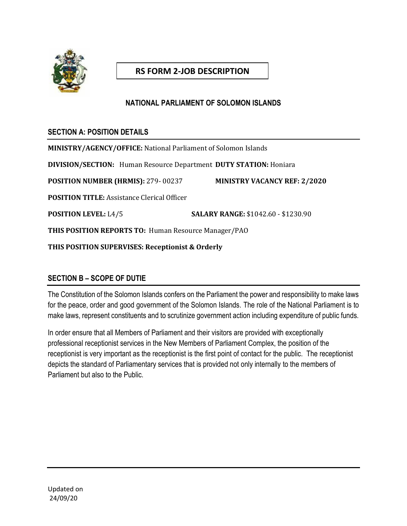

# **RS FORM 2-JOB DESCRIPTION**

### **NATIONAL PARLIAMENT OF SOLOMON ISLANDS**

### **SECTION A: POSITION DETAILS**

**MINISTRY/AGENCY/OFFICE:** National Parliament of Solomon Islands **DIVISION/SECTION:** Human Resource Department **DUTY STATION:** Honiara **POSITION NUMBER (HRMIS):** 279- 00237 **MINISTRY VACANCY REF: 2/2020 POSITION TITLE:** Assistance Clerical Officer **POSITION LEVEL:** L4/5 **SALARY RANGE:** \$1042.60 - \$1230.90 **THIS POSITION REPORTS TO:** Human Resource Manager/PAO **THIS POSITION SUPERVISES: Receptionist & Orderly**

## **SECTION B – SCOPE OF DUTIE**

The Constitution of the Solomon Islands confers on the Parliament the power and responsibility to make laws for the peace, order and good government of the Solomon Islands. The role of the National Parliament is to make laws, represent constituents and to scrutinize government action including expenditure of public funds.

In order ensure that all Members of Parliament and their visitors are provided with exceptionally professional receptionist services in the New Members of Parliament Complex, the position of the receptionist is very important as the receptionist is the first point of contact for the public. The receptionist depicts the standard of Parliamentary services that is provided not only internally to the members of Parliament but also to the Public.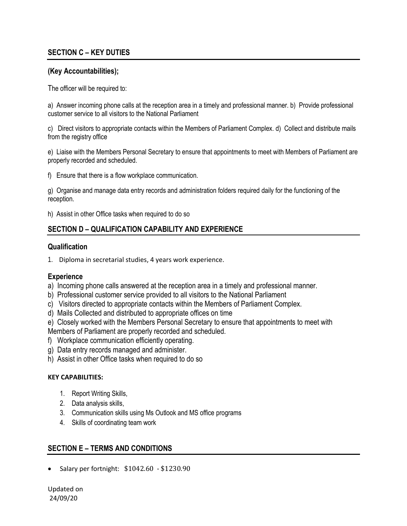### **SECTION C – KEY DUTIES**

#### **(Key Accountabilities);**

The officer will be required to:

a) Answer incoming phone calls at the reception area in a timely and professional manner. b) Provide professional customer service to all visitors to the National Parliament

c) Direct visitors to appropriate contacts within the Members of Parliament Complex. d) Collect and distribute mails from the registry office

e) Liaise with the Members Personal Secretary to ensure that appointments to meet with Members of Parliament are properly recorded and scheduled.

f) Ensure that there is a flow workplace communication.

g) Organise and manage data entry records and administration folders required daily for the functioning of the reception.

h) Assist in other Office tasks when required to do so

#### **SECTION D – QUALIFICATION CAPABILITY AND EXPERIENCE**

#### **Qualification**

1. Diploma in secretarial studies, 4 years work experience.

#### **Experience**

a) Incoming phone calls answered at the reception area in a timely and professional manner.

- b) Professional customer service provided to all visitors to the National Parliament
- c) Visitors directed to appropriate contacts within the Members of Parliament Complex.
- d) Mails Collected and distributed to appropriate offices on time
- e) Closely worked with the Members Personal Secretary to ensure that appointments to meet with

Members of Parliament are properly recorded and scheduled.

- f) Workplace communication efficiently operating.
- g) Data entry records managed and administer.
- h) Assist in other Office tasks when required to do so

#### **KEY CAPABILITIES:**

- 1. Report Writing Skills,
- 2. Data analysis skills,
- 3. Communication skills using Ms Outlook and MS office programs
- 4. Skills of coordinating team work

#### **SECTION E – TERMS AND CONDITIONS**

• Salary per fortnight: \$1042.60 - \$1230.90